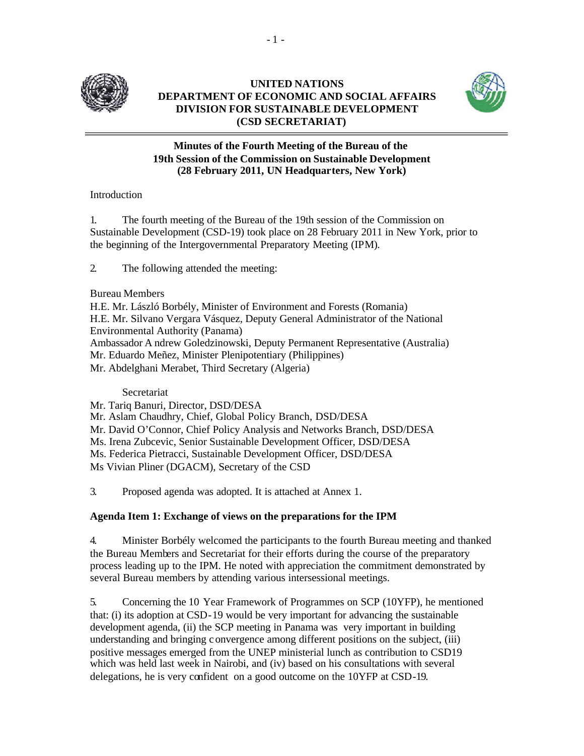

# **UNITED NATIONS DEPARTMENT OF ECONOMIC AND SOCIAL AFFAIRS DIVISION FOR SUSTAINABLE DEVELOPMENT (CSD SECRETARIAT)**



## **Minutes of the Fourth Meeting of the Bureau of the 19th Session of the Commission on Sustainable Development (28 February 2011, UN Headquarters, New York)**

# Introduction

1. The fourth meeting of the Bureau of the 19th session of the Commission on Sustainable Development (CSD-19) took place on 28 February 2011 in New York, prior to the beginning of the Intergovernmental Preparatory Meeting (IPM).

2. The following attended the meeting:

# Bureau Members

H.E. Mr. László Borbély, Minister of Environment and Forests (Romania) H.E. Mr. Silvano Vergara Vásquez, Deputy General Administrator of the National Environmental Authority (Panama) Ambassador A ndrew Goledzinowski, Deputy Permanent Representative (Australia) Mr. Eduardo Meñez, Minister Plenipotentiary (Philippines) Mr. Abdelghani Merabet, Third Secretary (Algeria)

### Secretariat

Mr. Tariq Banuri, Director, DSD/DESA Mr. Aslam Chaudhry, Chief, Global Policy Branch, DSD/DESA Mr. David O'Connor, Chief Policy Analysis and Networks Branch, DSD/DESA Ms. Irena Zubcevic, Senior Sustainable Development Officer, DSD/DESA Ms. Federica Pietracci, Sustainable Development Officer, DSD/DESA Ms Vivian Pliner (DGACM), Secretary of the CSD

3. Proposed agenda was adopted. It is attached at Annex 1.

# **Agenda Item 1: Exchange of views on the preparations for the IPM**

4. Minister Borbély welcomed the participants to the fourth Bureau meeting and thanked the Bureau Members and Secretariat for their efforts during the course of the preparatory process leading up to the IPM. He noted with appreciation the commitment demonstrated by several Bureau members by attending various intersessional meetings.

5. Concerning the 10 Year Framework of Programmes on SCP (10YFP), he mentioned that: (i) its adoption at CSD-19 would be very important for advancing the sustainable development agenda, (ii) the SCP meeting in Panama was very important in building understanding and bringing convergence among different positions on the subject, (iii) positive messages emerged from the UNEP ministerial lunch as contribution to CSD19 which was held last week in Nairobi, and (iv) based on his consultations with several delegations, he is very confident on a good outcome on the 10YFP at CSD-19.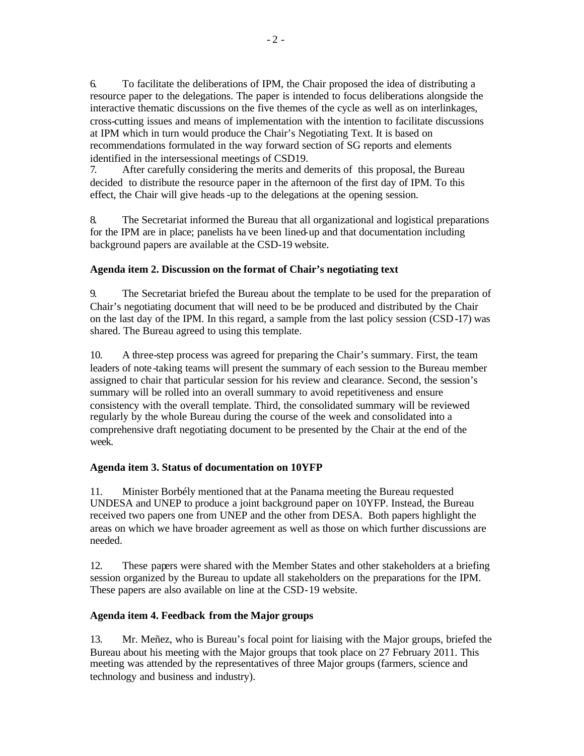6. To facilitate the deliberations of IPM, the Chair proposed the idea of distributing a resource paper to the delegations. The paper is intended to focus deliberations alongside the interactive thematic discussions on the five themes of the cycle as well as on interlinkages, cross-cutting issues and means of implementation with the intention to facilitate discussions at IPM which in turn would produce the Chair's Negotiating Text. It is based on recommendations formulated in the way forward section of SG reports and elements identified in the intersessional meetings of CSD19.

7. After carefully considering the merits and demerits of this proposal, the Bureau decided to distribute the resource paper in the afternoon of the first day of IPM. To this effect, the Chair will give heads-up to the delegations at the opening session.

8. The Secretariat informed the Bureau that all organizational and logistical preparations for the IPM are in place; panelists ha ve been lined-up and that documentation including background papers are available at the CSD-19 website.

### **Agenda item 2. Discussion on the format of Chair's negotiating text**

9. The Secretariat briefed the Bureau about the template to be used for the preparation of Chair's negotiating document that will need to be be produced and distributed by the Chair on the last day of the IPM. In this regard, a sample from the last policy session (CSD-17) was shared. The Bureau agreed to using this template.

10. A three-step process was agreed for preparing the Chair's summary. First, the team leaders of note -taking teams will present the summary of each session to the Bureau member assigned to chair that particular session for his review and clearance. Second, the session's summary will be rolled into an overall summary to avoid repetitiveness and ensure consistency with the overall template. Third, the consolidated summary will be reviewed regularly by the whole Bureau during the course of the week and consolidated into a comprehensive draft negotiating document to be presented by the Chair at the end of the week.

#### **Agenda item 3. Status of documentation on 10YFP**

11. Minister Borbély mentioned that at the Panama meeting the Bureau requested UNDESA and UNEP to produce a joint background paper on 10YFP. Instead, the Bureau received two papers one from UNEP and the other from DESA. Both papers highlight the areas on which we have broader agreement as well as those on which further discussions are needed.

12. These papers were shared with the Member States and other stakeholders at a briefing session organized by the Bureau to update all stakeholders on the preparations for the IPM. These papers are also available on line at the CSD-19 website.

#### **Agenda item 4. Feedback from the Major groups**

13. Mr. Meñez, who is Bureau's focal point for liaising with the Major groups, briefed the Bureau about his meeting with the Major groups that took place on 27 February 2011. This meeting was attended by the representatives of three Major groups (farmers, science and technology and business and industry).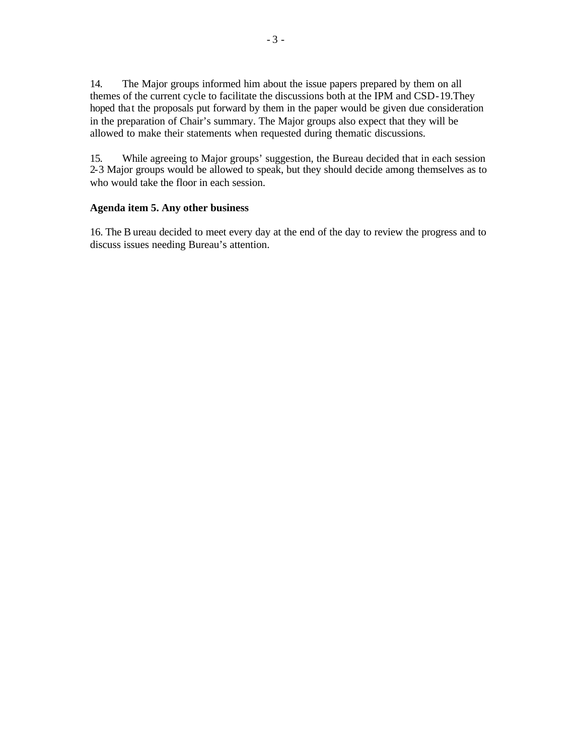14. The Major groups informed him about the issue papers prepared by them on all themes of the current cycle to facilitate the discussions both at the IPM and CSD-19.They hoped that the proposals put forward by them in the paper would be given due consideration in the preparation of Chair's summary. The Major groups also expect that they will be allowed to make their statements when requested during thematic discussions.

15. While agreeing to Major groups' suggestion, the Bureau decided that in each session 2-3 Major groups would be allowed to speak, but they should decide among themselves as to who would take the floor in each session.

### **Agenda item 5. Any other business**

16. The B ureau decided to meet every day at the end of the day to review the progress and to discuss issues needing Bureau's attention.